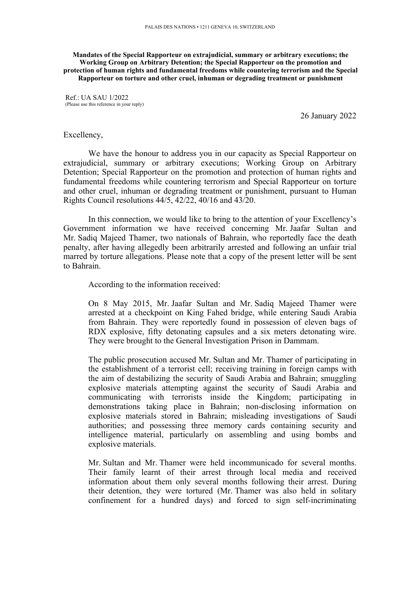## **Mandates of the Special Rapporteur on extrajudicial, summary or arbitrary executions; the Working Group on Arbitrary Detention; the Special Rapporteur on the promotion and protection of human rights and fundamental freedoms while countering terrorism and the Special Rapporteur on torture and other cruel, inhuman or degrading treatment or punishment**

Ref.: UA SAU 1/2022 (Please use this reference in your reply)

26 January 2022

## Excellency,

We have the honour to address you in our capacity as Special Rapporteur on extrajudicial, summary or arbitrary executions; Working Group on Arbitrary Detention; Special Rapporteur on the promotion and protection of human rights and fundamental freedoms while countering terrorism and Special Rapporteur on torture and other cruel, inhuman or degrading treatment or punishment, pursuan<sup>t</sup> to Human Rights Council resolutions 44/5, 42/22, 40/16 and 43/20.

In this connection, we would like to bring to the attention of your Excellency'<sup>s</sup> Government information we have received concerning Mr. Jaafar Sultan and Mr. Sadiq Majeed Thamer, two nationals of Bahrain, who reportedly face the death penalty, after having allegedly been arbitrarily arrested and following an unfair trial marred by torture allegations. Please note that <sup>a</sup> copy of the presen<sup>t</sup> letter will be sent to Bahrain.

According to the information received:

On 8 May 2015, Mr. Jaafar Sultan and Mr. Sadiq Majeed Thamer were arrested at <sup>a</sup> checkpoint on King Fahed bridge, while entering Saudi Arabia from Bahrain. They were reportedly found in possession of eleven bags of RDX explosive, fifty detonating capsules and <sup>a</sup> six meters detonating wire. They were brought to the General Investigation Prison in Dammam.

The public prosecution accused Mr. Sultan and Mr. Thamer of participating in the establishment of <sup>a</sup> terrorist cell; receiving training in foreign camps with the aim of destabilizing the security of Saudi Arabia and Bahrain; smuggling explosive materials attempting against the security of Saudi Arabia and communicating with terrorists inside the Kingdom; participating in demonstrations taking place in Bahrain; non-disclosing information on explosive materials stored in Bahrain; misleading investigations of Saudi authorities; and possessing three memory cards containing security and intelligence material, particularly on assembling and using bombs and explosive materials.

Mr. Sultan and Mr. Thamer were held incommunicado for several months. Their family learnt of their arrest through local media and received information about them only several months following their arrest. During their detention, they were tortured (Mr. Thamer was also held in solitary confinement for <sup>a</sup> hundred days) and forced to sign self-incriminating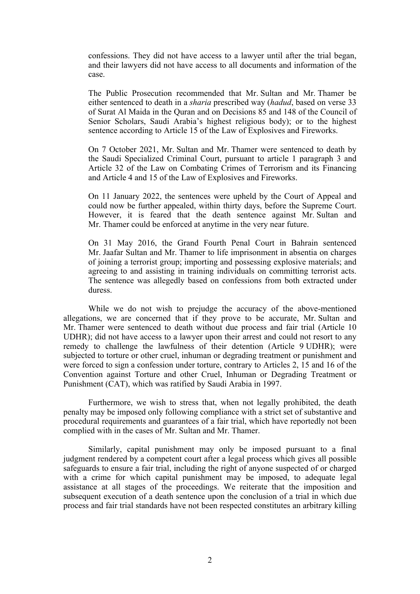confessions. They did not have access to <sup>a</sup> lawyer until after the trial began, and their lawyers did not have access to all documents and information of the case.

The Public Prosecution recommended that Mr. Sultan and Mr. Thamer be either sentenced to death in <sup>a</sup> *sharia* prescribed way (*hadud*, based on verse 33 of Surat Al Maida in the Quran and on Decisions 85 and 148 of the Council of Senior Scholars, Saudi Arabia'<sup>s</sup> highest religious body); or to the highest sentence according to Article 15 of the Law of Explosives and Fireworks.

On 7 October 2021, Mr. Sultan and Mr. Thamer were sentenced to death by the Saudi Specialized Criminal Court, pursuan<sup>t</sup> to article 1 paragraph 3 and Article 32 of the Law on Combating Crimes of Terrorism and its Financing and Article 4 and 15 of the Law of Explosives and Fireworks.

On 11 January 2022, the sentences were upheld by the Court of Appeal and could now be further appealed, within thirty days, before the Supreme Court. However, it is feared that the death sentence against Mr. Sultan and Mr. Thamer could be enforced at anytime in the very near future.

On 31 May 2016, the Grand Fourth Penal Court in Bahrain sentenced Mr. Jaafar Sultan and Mr. Thamer to life imprisonment in absentia on charges of joining <sup>a</sup> terrorist group; importing and possessing explosive materials; and agreeing to and assisting in training individuals on committing terrorist acts. The sentence was allegedly based on confessions from both extracted under duress.

While we do not wish to prejudge the accuracy of the above-mentioned allegations, we are concerned that if they prove to be accurate, Mr. Sultan and Mr. Thamer were sentenced to death without due process and fair trial (Article 10 UDHR); did not have access to <sup>a</sup> lawyer upon their arrest and could not resort to any remedy to challenge the lawfulness of their detention (Article 9 UDHR); were subjected to torture or other cruel, inhuman or degrading treatment or punishment and were forced to sign <sup>a</sup> confession under torture, contrary to Articles 2, 15 and 16 of the Convention against Torture and other Cruel, Inhuman or Degrading Treatment or Punishment (CAT), which was ratified by Saudi Arabia in 1997.

Furthermore, we wish to stress that, when not legally prohibited, the death penalty may be imposed only following compliance with <sup>a</sup> strict set of substantive and procedural requirements and guarantees of <sup>a</sup> fair trial, which have reportedly not been complied with in the cases of Mr. Sultan and Mr. Thamer.

Similarly, capital punishment may only be imposed pursuan<sup>t</sup> to <sup>a</sup> final judgment rendered by <sup>a</sup> competent court after <sup>a</sup> legal process which gives all possible safeguards to ensure <sup>a</sup> fair trial, including the right of anyone suspected of or charged with <sup>a</sup> crime for which capital punishment may be imposed, to adequate legal assistance at all stages of the proceedings. We reiterate that the imposition and subsequent execution of <sup>a</sup> death sentence upon the conclusion of <sup>a</sup> trial in which due process and fair trial standards have not been respected constitutes an arbitrary killing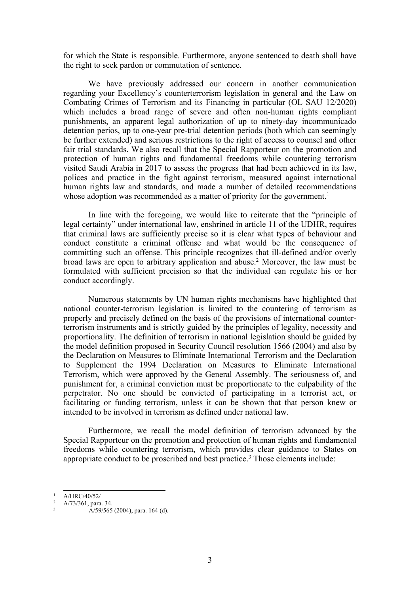for which the State is responsible. Furthermore, anyone sentenced to death shall have the right to seek pardon or commutation of sentence.

We have previously addressed our concern in another communication regarding your Excellency'<sup>s</sup> counterterrorism legislation in general and the Law on Combating Crimes of Terrorism and its Financing in particular (OL SAU 12/2020) which includes <sup>a</sup> broad range of severe and often non-human rights compliant punishments, an apparen<sup>t</sup> legal authorization of up to ninety-day incommunicado detention perios, up to one-year pre-trial detention periods (both which can seemingly be further extended) and serious restrictions to the right of access to counsel and other fair trial standards. We also recall that the Special Rapporteur on the promotion and protection of human rights and fundamental freedoms while countering terrorism visited Saudi Arabia in 2017 to assess the progress that had been achieved in its law, polices and practice in the fight against terrorism, measured against international human rights law and standards, and made <sup>a</sup> number of detailed recommendations whose adoption was recommended as a matter of priority for the government.<sup>1</sup>

In line with the foregoing, we would like to reiterate that the "principle of legal certainty" under international law, enshrined in article 11 of the UDHR, requires that criminal laws are sufficiently precise so it is clear what types of behaviour and conduct constitute <sup>a</sup> criminal offense and what would be the consequence of committing such an offense. This principle recognizes that ill-defined and/or overly broad laws are open to arbitrary application and abuse. <sup>2</sup> Moreover, the law must be formulated with sufficient precision so that the individual can regulate his or her conduct accordingly.

Numerous statements by UN human rights mechanisms have highlighted that national counter-terrorism legislation is limited to the countering of terrorism as properly and precisely defined on the basis of the provisions of international counterterrorism instruments and is strictly guided by the principles of legality, necessity and proportionality. The definition of terrorism in national legislation should be guided by the model definition proposed in Security Council resolution 1566 (2004) and also by the Declaration on Measures to Eliminate International Terrorism and the Declaration to Supplement the 1994 Declaration on Measures to Eliminate International Terrorism, which were approved by the General Assembly. The seriousness of, and punishment for, <sup>a</sup> criminal conviction must be proportionate to the culpability of the perpetrator. No one should be convicted of participating in <sup>a</sup> terrorist act, or facilitating or funding terrorism, unless it can be shown that that person knew or intended to be involved in terrorism as defined under national law.

Furthermore, we recall the model definition of terrorism advanced by the Special Rapporteur on the promotion and protection of human rights and fundamental freedoms while countering terrorism, which provides clear guidance to States on appropriate conduct to be proscribed and best practice. 3 Those elements include:

<sup>1</sup> A/HRC/40/52/

<sup>2</sup> A/73/361, para. 34.

<sup>3</sup> A/59/565 (2004), para. 164 (d).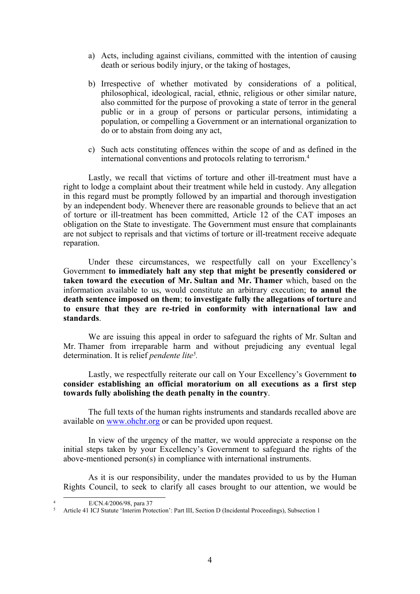- a) Acts, including against civilians, committed with the intention of causing death or serious bodily injury, or the taking of hostages,
- b) Irrespective of whether motivated by considerations of <sup>a</sup> political, philosophical, ideological, racial, ethnic, religious or other similar nature, also committed for the purpose of provoking <sup>a</sup> state of terror in the general public or in <sup>a</sup> group of persons or particular persons, intimidating <sup>a</sup> population, or compelling <sup>a</sup> Government or an international organization to do or to abstain from doing any act,
- c) Such acts constituting offences within the scope of and as defined in the international conventions and protocols relating to terrorism. 4

Lastly, we recall that victims of torture and other ill-treatment must have <sup>a</sup> right to lodge <sup>a</sup> complaint about their treatment while held in custody. Any allegation in this regard must be promptly followed by an impartial and thorough investigation by an independent body. Whenever there are reasonable grounds to believe that an act of torture or ill-treatment has been committed, Article 12 of the CAT imposes an obligation on the State to investigate. The Government must ensure that complainants are not subject to reprisals and that victims of torture or ill-treatment receive adequate reparation.

Under these circumstances, we respectfully call on your Excellency'<sup>s</sup> Government **to immediately halt any step that might be presently considered or taken toward the execution of Mr. Sultan and Mr. Thamer** which, based on the information available to us, would constitute an arbitrary execution; **to annul the death sentence imposed on them**; **to investigate fully the allegations of torture** and **to ensure that they are re-tried in conformity with international law and standards**.

We are issuing this appeal in order to safeguard the rights of Mr. Sultan and Mr. Thamer from irreparable harm and without prejudicing any eventual legal determination. It is relief *pendente lite<sup>5</sup> .*

Lastly, we respectfully reiterate our call on Your Excellency'<sup>s</sup> Government **to consider establishing an official moratorium on all executions as <sup>a</sup> first step towards fully abolishing the death penalty in the country**.

The full texts of the human rights instruments and standards recalled above are available on [www.ohchr.org](http://www.ohchr.org) or can be provided upon request.

In view of the urgency of the matter, we would appreciate <sup>a</sup> response on the initial steps taken by your Excellency'<sup>s</sup> Government to safeguard the rights of the above-mentioned person(s) in compliance with international instruments.

As it is our responsibility, under the mandates provided to us by the Human Rights Council, to seek to clarify all cases brought to our attention, we would be

4

E/CN.4/2006/98, para 37

<sup>5</sup> Article 41 ICJ Statute 'Interim Protection': Part III, Section <sup>D</sup> (Incidental Proceedings), Subsection 1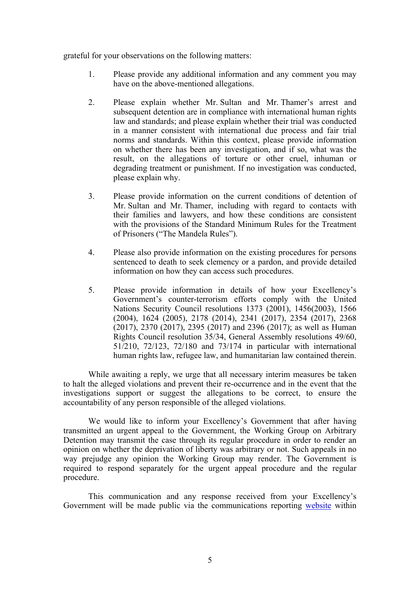grateful for your observations on the following matters:

- 1. Please provide any additional information and any comment you may have on the above-mentioned allegations.
- 2. Please explain whether Mr. Sultan and Mr. Thamer'<sup>s</sup> arrest and subsequent detention are in compliance with international human rights law and standards; and please explain whether their trial was conducted in <sup>a</sup> manner consistent with international due process and fair trial norms and standards. Within this context, please provide information on whether there has been any investigation, and if so, what was the result, on the allegations of torture or other cruel, inhuman or degrading treatment or punishment. If no investigation was conducted, please explain why.
- 3. Please provide information on the current conditions of detention of Mr. Sultan and Mr. Thamer, including with regard to contacts with their families and lawyers, and how these conditions are consistent with the provisions of the Standard Minimum Rules for the Treatment of Prisoners ("The Mandela Rules").
- 4. Please also provide information on the existing procedures for persons sentenced to death to seek clemency or <sup>a</sup> pardon, and provide detailed information on how they can access such procedures.
- 5. Please provide information in details of how your Excellency'<sup>s</sup> Government'<sup>s</sup> counter-terrorism efforts comply with the United Nations Security Council resolutions 1373 (2001), 1456(2003), 1566 (2004), 1624 (2005), 2178 (2014), 2341 (2017), 2354 (2017), 2368 (2017), 2370 (2017), 2395 (2017) and 2396 (2017); as well as Human Rights Council resolution 35/34, General Assembly resolutions 49/60, 51/210, 72/123, 72/180 and 73/174 in particular with international human rights law, refugee law, and humanitarian law contained therein.

While awaiting <sup>a</sup> reply, we urge that all necessary interim measures be taken to halt the alleged violations and preven<sup>t</sup> their re-occurrence and in the event that the investigations suppor<sup>t</sup> or sugges<sup>t</sup> the allegations to be correct, to ensure the accountability of any person responsible of the alleged violations.

We would like to inform your Excellency's Government that after having transmitted an urgen<sup>t</sup> appeal to the Government, the Working Group on Arbitrary Detention may transmit the case through its regular procedure in order to render an opinion on whether the deprivation of liberty was arbitrary or not. Such appeals in no way prejudge any opinion the Working Group may render. The Government is required to respond separately for the urgen<sup>t</sup> appeal procedure and the regular procedure.

This communication and any response received from your Excellency'<sup>s</sup> Government will be made public via the communications reporting [website](https://spcommreports.ohchr.org/) within